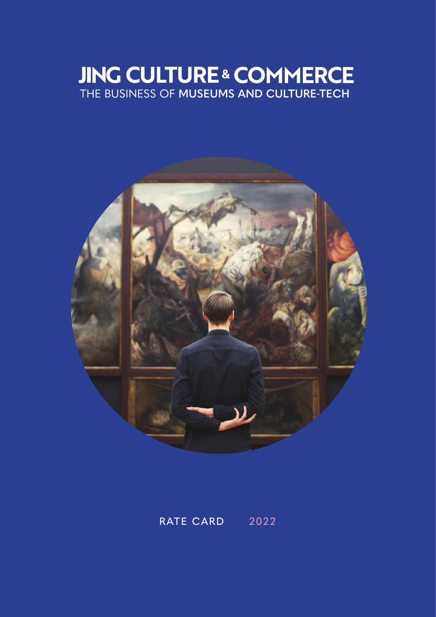### **JING CULTURE & COMMERCE** THE BUSINESS OF **MUSEUMS AND CULTURE-TECH**



RATE CARD 2022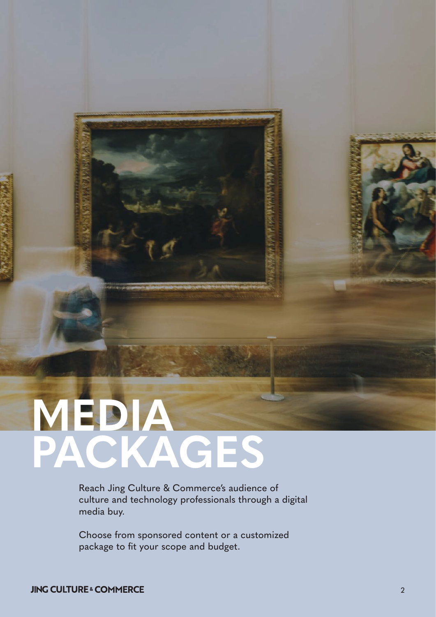# **MEDIA PACKAGES**

Reach Jing Culture & Commerce's audience of culture and technology professionals through a digital media buy.

Choose from sponsored content or a customized package to fit your scope and budget.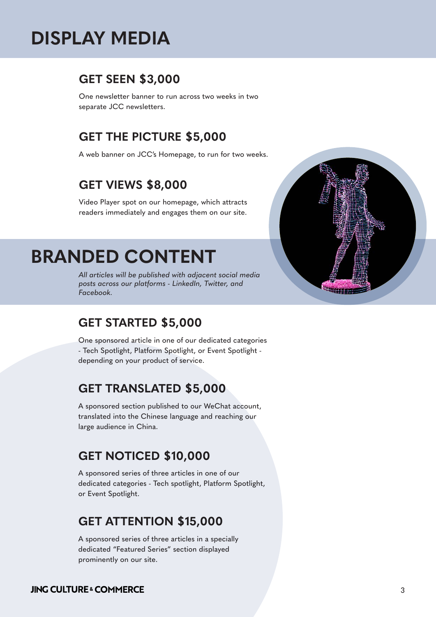## **DISPLAY MEDIA**

#### **GET SEEN \$3,000**

One newsletter banner to run across two weeks in two separate JCC newsletters.

#### **GET THE PICTURE \$5,000**

A web banner on JCC's Homepage, to run for two weeks.

#### **GET VIEWS \$8,000**

Video Player spot on our homepage, which attracts readers immediately and engages them on our site.

## **BRANDED CONTENT**

*All articles will be published with adjacent social media posts across our platforms - LinkedIn, Twitter, and Facebook.*

#### **GET STARTED \$5,000**

One sponsored article in one of our dedicated categories - Tech Spotlight, Platform Spotlight, or Event Spotlight depending on your product of service.

#### **GET TRANSLATED \$5,000**

A sponsored section published to our WeChat account, translated into the Chinese language and reaching our large audience in China.

#### **GET NOTICED \$10,000**

A sponsored series of three articles in one of our dedicated categories - Tech spotlight, Platform Spotlight, or Event Spotlight.

#### **GET ATTENTION \$15,000**

A sponsored series of three articles in a specially dedicated "Featured Series" section displayed prominently on our site.



#### **JING CULTURE & COMMERCE**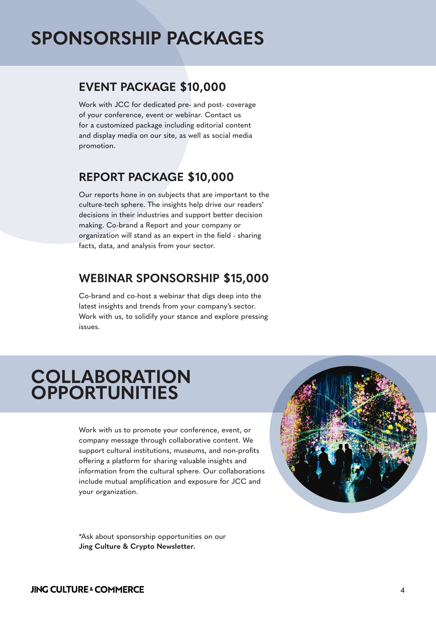## **SPONSORSHIP PACKAGES**

#### **EVENT PACKAGE \$10,000**

Work with JCC for dedicated pre- and post- coverage of your conference, event or webinar. Contact us for a customized package including editorial content and display media on our site, as well as social media promotion.

#### **REPORT PACKAGE \$10,000**

Our reports hone in on subjects that are important to the culture-tech sphere. The insights help drive our readers' decisions in their industries and support better decision making. Co-brand a Report and your company or organization will stand as an expert in the field - sharing facts, data, and analysis from your sector.

#### **WEBINAR SPONSORSHIP \$15,000**

Co-brand and co-host a webinar that digs deep into the latest insights and trends from your company's sector. Work with us, to solidify your stance and explore pressing issues.

## **COLLABORATION OPPORTUNITIES**

Work with us to promote your conference, event, or company message through collaborative content. We support cultural institutions, museums, and non-profits offering a platform for sharing valuable insights and information from the cultural sphere. Our collaborations include mutual amplification and exposure for JCC and your organization.

\*Ask about sponsorship opportunities on our **Jing Culture & Crypto Newsletter.**